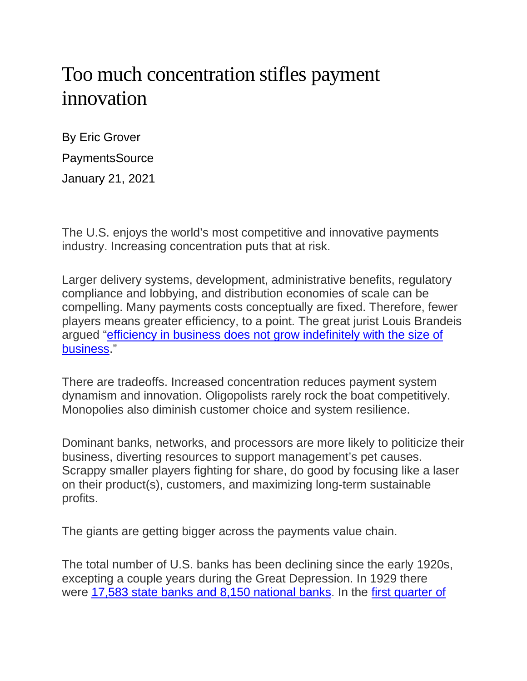## Too much concentration stifles payment innovation

By Eric Grover **PaymentsSource** January 21, 2021

The U.S. enjoys the world's most competitive and innovative payments industry. Increasing concentration puts that at risk.

Larger delivery systems, development, administrative benefits, regulatory compliance and lobbying, and distribution economies of scale can be compelling. Many payments costs conceptually are fixed. Therefore, fewer players means greater efficiency, to a point. The great jurist Louis Brandeis argued ["efficiency in business does not grow indefinitely with the size of](http://louisville.edu/law/library/special-collections/the-louis-d.-brandeis-collection/the-regulation-of-competition-versus-the-regulation-of-monopoly-by-louis-d.-brandeis)  [business.](http://louisville.edu/law/library/special-collections/the-louis-d.-brandeis-collection/the-regulation-of-competition-versus-the-regulation-of-monopoly-by-louis-d.-brandeis)"

There are tradeoffs. Increased concentration reduces payment system dynamism and innovation. Oligopolists rarely rock the boat competitively. Monopolies also diminish customer choice and system resilience.

Dominant banks, networks, and processors are more likely to politicize their business, diverting resources to support management's pet causes. Scrappy smaller players fighting for share, do good by focusing like a laser on their product(s), customers, and maximizing long-term sustainable profits.

The giants are getting bigger across the payments value chain.

The total number of U.S. banks has been declining since the early 1920s, excepting a couple years during the Great Depression. In 1929 there were [17,583 state banks and 8,150 national banks.](https://www.fdic.gov/about/history/timeline/1920s.html) In the [first quarter of](https://fred.stlouisfed.org/series/USNUM)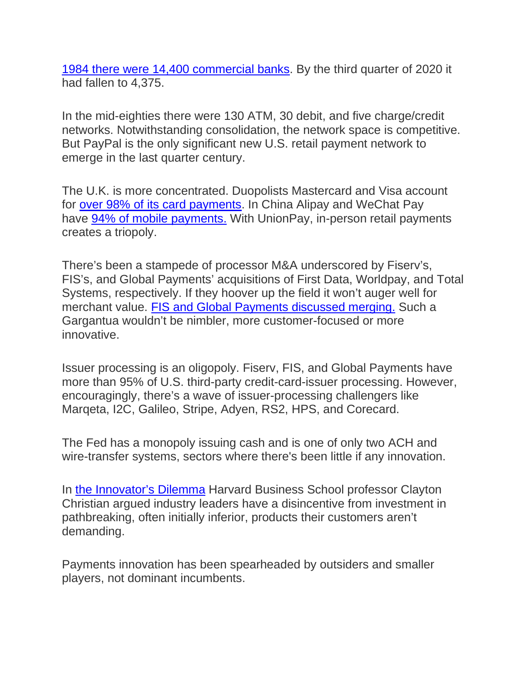[1984 there were 14,400 commercial banks.](https://fred.stlouisfed.org/series/USNUM) By the third quarter of 2020 it had fallen to 4,375.

In the mid-eighties there were 130 ATM, 30 debit, and five charge/credit networks. Notwithstanding consolidation, the network space is competitive. But PayPal is the only significant new U.S. retail payment network to emerge in the last quarter century.

The U.K. is more concentrated. Duopolists Mastercard and Visa account for [over 98% of its card payments.](https://www.psr.org.uk/sites/default/files/media/PDF/PSR_MR18_1.2_card_acquiring_market_review_Final_terms_of_reference_January_2019.pdf) In China Alipay and WeChat Pay have [94% of mobile payments.](https://www.chinabankingnews.com/2020/01/21/chinas-mobile-payments-market-grows-over-15-alipays-market-share-exceed-half/) With UnionPay, in-person retail payments creates a triopoly.

There's been a stampede of processor M&A underscored by Fiserv's, FIS's, and Global Payments' acquisitions of First Data, Worldpay, and Total Systems, respectively. If they hoover up the field it won't auger well for merchant value. [FIS and Global Payments discussed merging.](https://www.wsj.com/articles/fis-global-payments-held-unsuccessful-talks-to-merge-11608487357) Such a Gargantua wouldn't be nimbler, more customer-focused or more innovative.

Issuer processing is an oligopoly. Fiserv, FIS, and Global Payments have more than 95% of U.S. third-party credit-card-issuer processing. However, encouragingly, there's a wave of issuer-processing challengers like Marqeta, I2C, Galileo, Stripe, Adyen, RS2, HPS, and Corecard.

The Fed has a monopoly issuing cash and is one of only two ACH and wire-transfer systems, sectors where there's been little if any innovation.

In [the Innovator's Dilemma](https://smile.amazon.com/Innovators-Dilemma-Technologies-Management-Innovation/dp/1633691780/ref=sr_1_2?dchild=1&keywords=innovator%27s+dilemma&qid=1610208758&sr=8-2) Harvard Business School professor Clayton Christian argued industry leaders have a disincentive from investment in pathbreaking, often initially inferior, products their customers aren't demanding.

Payments innovation has been spearheaded by outsiders and smaller players, not dominant incumbents.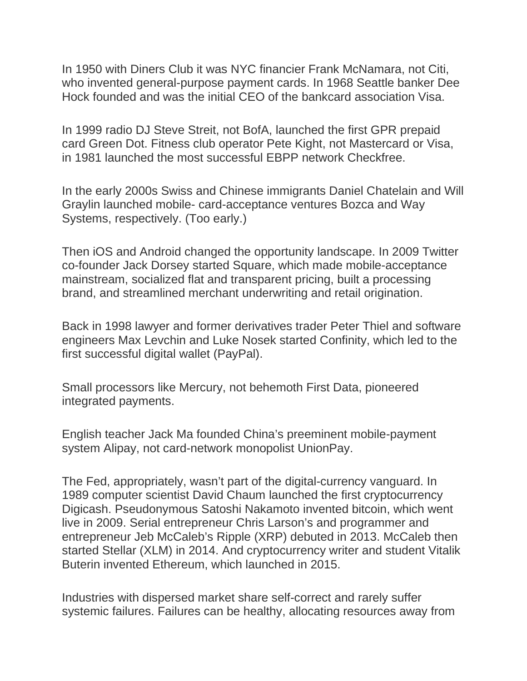In 1950 with Diners Club it was NYC financier Frank McNamara, not Citi, who invented general-purpose payment cards. In 1968 Seattle banker Dee Hock founded and was the initial CEO of the bankcard association Visa.

In 1999 radio DJ Steve Streit, not BofA, launched the first GPR prepaid card Green Dot. Fitness club operator Pete Kight, not Mastercard or Visa, in 1981 launched the most successful EBPP network Checkfree.

In the early 2000s Swiss and Chinese immigrants Daniel Chatelain and Will Graylin launched mobile- card-acceptance ventures Bozca and Way Systems, respectively. (Too early.)

Then iOS and Android changed the opportunity landscape. In 2009 Twitter co-founder Jack Dorsey started Square, which made mobile-acceptance mainstream, socialized flat and transparent pricing, built a processing brand, and streamlined merchant underwriting and retail origination.

Back in 1998 lawyer and former derivatives trader Peter Thiel and software engineers Max Levchin and Luke Nosek started Confinity, which led to the first successful digital wallet (PayPal).

Small processors like Mercury, not behemoth First Data, pioneered integrated payments.

English teacher Jack Ma founded China's preeminent mobile-payment system Alipay, not card-network monopolist UnionPay.

The Fed, appropriately, wasn't part of the digital-currency vanguard. In 1989 computer scientist David Chaum launched the first cryptocurrency Digicash. Pseudonymous Satoshi Nakamoto invented bitcoin, which went live in 2009. Serial entrepreneur Chris Larson's and programmer and entrepreneur Jeb McCaleb's Ripple (XRP) debuted in 2013. McCaleb then started Stellar (XLM) in 2014. And cryptocurrency writer and student Vitalik Buterin invented Ethereum, which launched in 2015.

Industries with dispersed market share self-correct and rarely suffer systemic failures. Failures can be healthy, allocating resources away from